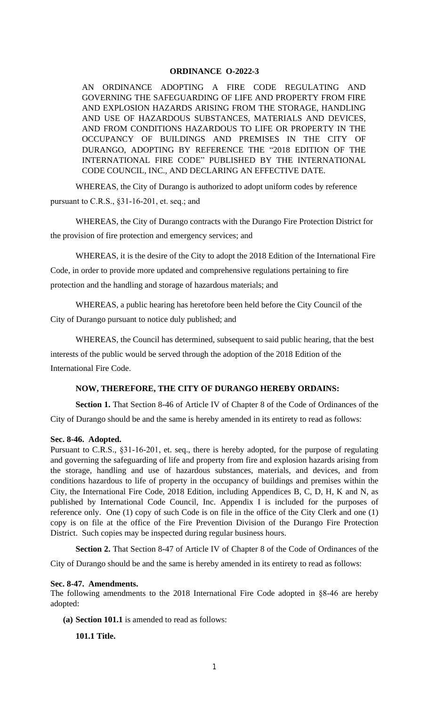## **ORDINANCE O-2022-3**

AN ORDINANCE ADOPTING A FIRE CODE REGULATING AND GOVERNING THE SAFEGUARDING OF LIFE AND PROPERTY FROM FIRE AND EXPLOSION HAZARDS ARISING FROM THE STORAGE, HANDLING AND USE OF HAZARDOUS SUBSTANCES, MATERIALS AND DEVICES, AND FROM CONDITIONS HAZARDOUS TO LIFE OR PROPERTY IN THE OCCUPANCY OF BUILDINGS AND PREMISES IN THE CITY OF DURANGO, ADOPTING BY REFERENCE THE "2018 EDITION OF THE INTERNATIONAL FIRE CODE" PUBLISHED BY THE INTERNATIONAL CODE COUNCIL, INC., AND DECLARING AN EFFECTIVE DATE.

WHEREAS, the City of Durango is authorized to adopt uniform codes by reference pursuant to C.R.S., §31-16-201, et. seq.; and

WHEREAS, the City of Durango contracts with the Durango Fire Protection District for the provision of fire protection and emergency services; and

WHEREAS, it is the desire of the City to adopt the 2018 Edition of the International Fire Code, in order to provide more updated and comprehensive regulations pertaining to fire protection and the handling and storage of hazardous materials; and

WHEREAS, a public hearing has heretofore been held before the City Council of the City of Durango pursuant to notice duly published; and

WHEREAS, the Council has determined, subsequent to said public hearing, that the best interests of the public would be served through the adoption of the 2018 Edition of the International Fire Code.

### **NOW, THEREFORE, THE CITY OF DURANGO HEREBY ORDAINS:**

**Section 1.** That Section 8-46 of Article IV of Chapter 8 of the Code of Ordinances of the City of Durango should be and the same is hereby amended in its entirety to read as follows:

### **Sec. 8-46. Adopted.**

Pursuant to C.R.S., §31-16-201, et. seq., there is hereby adopted, for the purpose of regulating and governing the safeguarding of life and property from fire and explosion hazards arising from the storage, handling and use of hazardous substances, materials, and devices, and from conditions hazardous to life of property in the occupancy of buildings and premises within the City, the International Fire Code, 2018 Edition, including Appendices B, C, D, H, K and N, as published by International Code Council, Inc. Appendix I is included for the purposes of reference only. One (1) copy of such Code is on file in the office of the City Clerk and one (1) copy is on file at the office of the Fire Prevention Division of the Durango Fire Protection District. Such copies may be inspected during regular business hours.

**Section 2.** That Section 8-47 of Article IV of Chapter 8 of the Code of Ordinances of the

City of Durango should be and the same is hereby amended in its entirety to read as follows:

### **Sec. 8-47. Amendments.**

The following amendments to the 2018 International Fire Code adopted in §8-46 are hereby adopted:

**(a) Section 101.1** is amended to read as follows:

**101.1 Title.**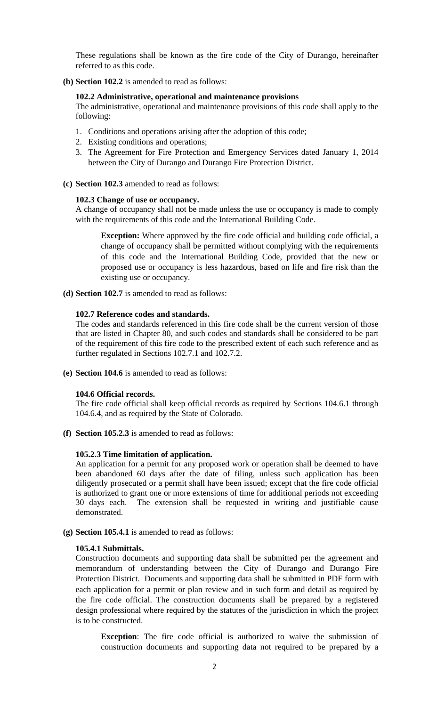These regulations shall be known as the fire code of the City of Durango, hereinafter referred to as this code.

**(b) Section 102.2** is amended to read as follows:

### **102.2 Administrative, operational and maintenance provisions**

The administrative, operational and maintenance provisions of this code shall apply to the following:

- 1. Conditions and operations arising after the adoption of this code;
- 2. Existing conditions and operations;
- 3. The Agreement for Fire Protection and Emergency Services dated January 1, 2014 between the City of Durango and Durango Fire Protection District.
- **(c) Section 102.3** amended to read as follows:

### **102.3 Change of use or occupancy.**

A change of occupancy shall not be made unless the use or occupancy is made to comply with the requirements of this code and the International Building Code.

**Exception:** Where approved by the fire code official and building code official, a change of occupancy shall be permitted without complying with the requirements of this code and the International Building Code, provided that the new or proposed use or occupancy is less hazardous, based on life and fire risk than the existing use or occupancy.

**(d) Section 102.7** is amended to read as follows:

### **102.7 Reference codes and standards.**

The codes and standards referenced in this fire code shall be the current version of those that are listed in Chapter 80, and such codes and standards shall be considered to be part of the requirement of this fire code to the prescribed extent of each such reference and as further regulated in Sections 102.7.1 and 102.7.2.

**(e) Section 104.6** is amended to read as follows:

### **104.6 Official records.**

The fire code official shall keep official records as required by Sections 104.6.1 through 104.6.4, and as required by the State of Colorado.

**(f) Section 105.2.3** is amended to read as follows:

### **105.2.3 Time limitation of application.**

An application for a permit for any proposed work or operation shall be deemed to have been abandoned 60 days after the date of filing, unless such application has been diligently prosecuted or a permit shall have been issued; except that the fire code official is authorized to grant one or more extensions of time for additional periods not exceeding 30 days each. The extension shall be requested in writing and justifiable cause demonstrated.

**(g) Section 105.4.1** is amended to read as follows:

### **105.4.1 Submittals.**

Construction documents and supporting data shall be submitted per the agreement and memorandum of understanding between the City of Durango and Durango Fire Protection District. Documents and supporting data shall be submitted in PDF form with each application for a permit or plan review and in such form and detail as required by the fire code official. The construction documents shall be prepared by a registered design professional where required by the statutes of the jurisdiction in which the project is to be constructed.

**Exception**: The fire code official is authorized to waive the submission of construction documents and supporting data not required to be prepared by a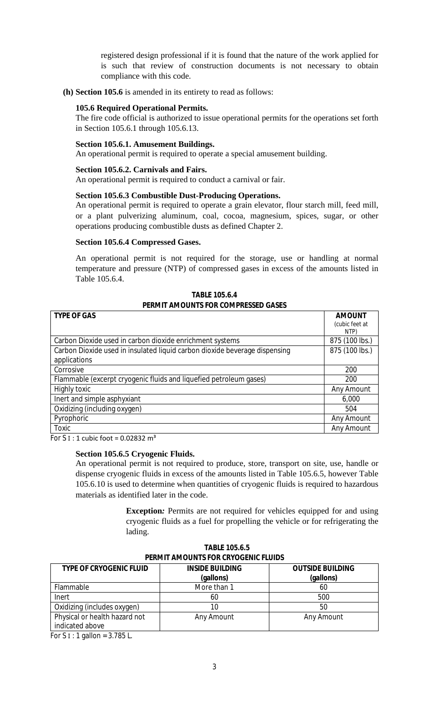registered design professional if it is found that the nature of the work applied for is such that review of construction documents is not necessary to obtain compliance with this code.

**(h) Section 105.6** is amended in its entirety to read as follows:

## **105.6 Required Operational Permits.**

The fire code official is authorized to issue operational permits for the operations set forth in Section 105.6.1 through 105.6.13.

### **Section 105.6.1. Amusement Buildings.**

An operational permit is required to operate a special amusement building.

### **Section 105.6.2. Carnivals and Fairs.**

An operational permit is required to conduct a carnival or fair.

### **Section 105.6.3 Combustible Dust-Producing Operations.**

An operational permit is required to operate a grain elevator, flour starch mill, feed mill, or a plant pulverizing aluminum, coal, cocoa, magnesium, spices, sugar, or other operations producing combustible dusts as defined Chapter 2.

#### **Section 105.6.4 Compressed Gases.**

An operational permit is not required for the storage, use or handling at normal temperature and pressure (NTP) of compressed gases in excess of the amounts listed in Table 105.6.4.

| <b>TYPE OF GAS</b>                                                         | <b>AMOUNT</b>  |  |
|----------------------------------------------------------------------------|----------------|--|
|                                                                            | (cubic feet at |  |
|                                                                            | NTP)           |  |
| Carbon Dioxide used in carbon dioxide enrichment systems                   | 875 (100 lbs.) |  |
| Carbon Dioxide used in insulated liquid carbon dioxide beverage dispensing | 875 (100 lbs.) |  |
| applications                                                               |                |  |
| Corrosive                                                                  | 200            |  |
| Flammable (excerpt cryogenic fluids and liquefied petroleum gases)         | 200            |  |
| Highly toxic                                                               | Any Amount     |  |
| Inert and simple asphyxiant                                                | 6,000          |  |
| Oxidizing (including oxygen)                                               | 504            |  |
| Pyrophoric                                                                 | Any Amount     |  |
| Toxic                                                                      | Any Amount     |  |

**TABLE 105.6.4 PERMIT AMOUNTS FOR COMPRESSED GASES**

For S  $I: 1$  cubic foot = 0.02832 m<sup>3</sup>

#### **Section 105.6.5 Cryogenic Fluids.**

An operational permit is not required to produce, store, transport on site, use, handle or dispense cryogenic fluids in excess of the amounts listed in Table 105.6.5, however Table 105.6.10 is used to determine when quantities of cryogenic fluids is required to hazardous materials as identified later in the code.

> **Exception***:* Permits are not required for vehicles equipped for and using cryogenic fluids as a fuel for propelling the vehicle or for refrigerating the lading.

| PERMIT AMOUNTS FOR CRYOGENIC FLUIDS              |                                     |                                      |  |
|--------------------------------------------------|-------------------------------------|--------------------------------------|--|
| <b>TYPE OF CRYOGENIC FLUID</b>                   | <b>INSIDE BUILDING</b><br>(gallons) | <b>OUTSIDE BUILDING</b><br>(gallons) |  |
| Flammable                                        | More than 1                         | 60                                   |  |
| Inert                                            | 60                                  | 500                                  |  |
| Oxidizing (includes oxygen)                      | 10                                  | 50                                   |  |
| Physical or health hazard not<br>indicated above | Any Amount                          | Any Amount                           |  |

| <b>TABLE 105.6.5</b>                       |  |
|--------------------------------------------|--|
| <b>PERMIT AMOUNTS FOR CRYOGENIC FLUIDS</b> |  |

For S  $I: 1$  gallon = 3.785 L.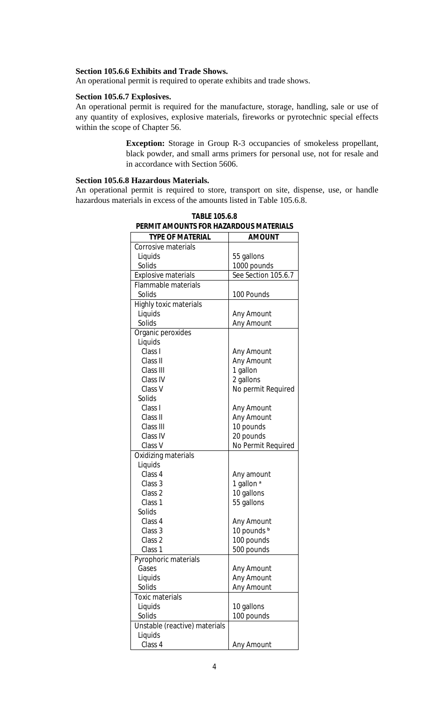# **Section 105.6.6 Exhibits and Trade Shows.**

An operational permit is required to operate exhibits and trade shows.

# **Section 105.6.7 Explosives.**

An operational permit is required for the manufacture, storage, handling, sale or use of any quantity of explosives, explosive materials, fireworks or pyrotechnic special effects within the scope of Chapter 56.

> **Exception:** Storage in Group R-3 occupancies of smokeless propellant, black powder, and small arms primers for personal use, not for resale and in accordance with Section 5606.

# **Section 105.6.8 Hazardous Materials.**

An operational permit is required to store, transport on site, dispense, use, or handle hazardous materials in excess of the amounts listed in Table 105.6.8.

| PERMIT AMOUNTS FOR HAZARDOUS MATERIALS |                       |  |
|----------------------------------------|-----------------------|--|
| <b>TYPE OF MATERIAL</b>                | <b>AMOUNT</b>         |  |
| Corrosive materials                    |                       |  |
| Liquids                                | 55 gallons            |  |
| Solids                                 | 1000 pounds           |  |
| Explosive materials                    | See Section 105.6.7   |  |
| Flammable materials                    |                       |  |
| Solids                                 | 100 Pounds            |  |
| Highly toxic materials                 |                       |  |
| Liquids                                | Any Amount            |  |
| Solids                                 | Any Amount            |  |
| Organic peroxides                      |                       |  |
| Liquids                                |                       |  |
| Class I                                | Any Amount            |  |
| Class II                               | Any Amount            |  |
| Class III                              | 1 gallon              |  |
| Class IV                               | 2 gallons             |  |
| Class V                                | No permit Required    |  |
| Solids                                 |                       |  |
| Class I                                | Any Amount            |  |
| Class II                               | Any Amount            |  |
| Class III                              | 10 pounds             |  |
| Class IV                               | 20 pounds             |  |
| Class V                                | No Permit Required    |  |
| Oxidizing materials                    |                       |  |
| Liquids                                |                       |  |
| Class 4                                | Any amount            |  |
| Class 3                                | 1 gallon <sup>a</sup> |  |
| Class 2                                | 10 gallons            |  |
| Class 1                                | 55 gallons            |  |
| Solids                                 |                       |  |
| Class 4                                | Any Amount            |  |
| Class 3                                | 10 pounds b           |  |
| Class 2                                | 100 pounds            |  |
| Class 1                                | 500 pounds            |  |
| Pyrophoric materials                   |                       |  |
| Gases                                  | Any Amount            |  |
| Liquids                                | Any Amount            |  |
| Solids                                 | Any Amount            |  |
| <b>Toxic materials</b>                 |                       |  |
| Liquids                                | 10 gallons            |  |
| Solids                                 | 100 pounds            |  |
| Unstable (reactive) materials          |                       |  |
| Liquids                                |                       |  |
| Class 4                                | Any Amount            |  |

**TABLE 105.6.8 PERMIT AMOUNTS FOR HAZARDOUS MATERIALS**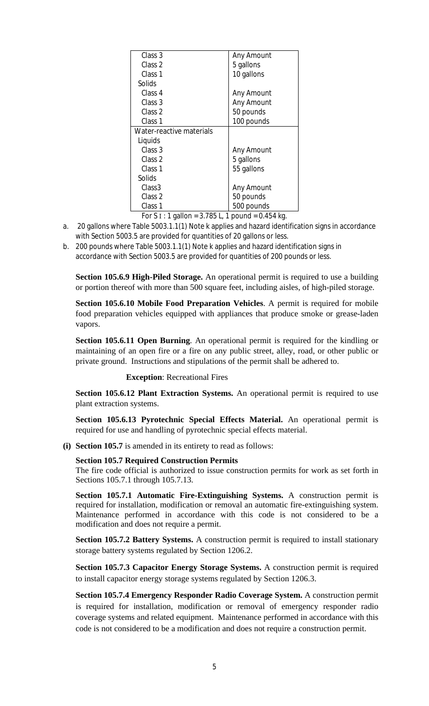| Class 3                  | Any Amount                  |
|--------------------------|-----------------------------|
| Class 2                  | 5 gallons                   |
| Class 1                  | 10 gallons                  |
| Solids                   |                             |
| Class 4                  | Any Amount                  |
| Class 3                  | Any Amount                  |
| Class 2                  | 50 pounds                   |
| Class 1                  | 100 pounds                  |
| Water-reactive materials |                             |
| Liquids                  |                             |
| Class 3                  | Any Amount                  |
| Class 2                  | 5 gallons                   |
| Class <sub>1</sub>       | 55 gallons                  |
| Solids                   |                             |
| Class <sub>3</sub>       | Any Amount                  |
| Class 2                  | 50 pounds                   |
| Class 1                  | 500 pounds                  |
| 270F1<br>F C . 4 H       | $1 - 2 - 3 = 1$ $2 - 1 = 1$ |

For S  $\text{I}: 1$  gallon = 3.785 L, 1 pound = 0.454 kg.

- a. 20 gallons where Table 5003.1.1(1) Note k applies and hazard identification signs in accordance with Section 5003.5 are provided for quantities of 20 gallons or less.
- b. 200 pounds where Table 5003.1.1(1) Note k applies and hazard identification signs in accordance with Section 5003.5 are provided for quantities of 200 pounds or less.

**Section 105.6.9 High-Piled Storage.** An operational permit is required to use a building or portion thereof with more than 500 square feet, including aisles, of high-piled storage.

**Section 105.6.10 Mobile Food Preparation Vehicles**. A permit is required for mobile food preparation vehicles equipped with appliances that produce smoke or grease-laden vapors.

**Section 105.6.11 Open Burning**. An operational permit is required for the kindling or maintaining of an open fire or a fire on any public street, alley, road, or other public or private ground. Instructions and stipulations of the permit shall be adhered to.

**Exception**: Recreational Fires

**Section 105.6.12 Plant Extraction Systems.** An operational permit is required to use plant extraction systems.

**Sect**i**on 105.6.13 Pyrotechnic Special Effects Material.** An operational permit is required for use and handling of pyrotechnic special effects material.

**(i) Section 105.7** is amended in its entirety to read as follows:

### **Section 105.7 Required Construction Permits**

The fire code official is authorized to issue construction permits for work as set forth in Sections 105.7.1 through 105.7.13.

**Section 105.7.1 Automatic Fire-Extinguishing Systems.** A construction permit is required for installation, modification or removal an automatic fire-extinguishing system. Maintenance performed in accordance with this code is not considered to be a modification and does not require a permit.

**Section 105.7.2 Battery Systems.** A construction permit is required to install stationary storage battery systems regulated by Section 1206.2.

**Section 105.7.3 Capacitor Energy Storage Systems.** A construction permit is required to install capacitor energy storage systems regulated by Section 1206.3.

**Section 105.7.4 Emergency Responder Radio Coverage System.** A construction permit is required for installation, modification or removal of emergency responder radio coverage systems and related equipment. Maintenance performed in accordance with this code is not considered to be a modification and does not require a construction permit.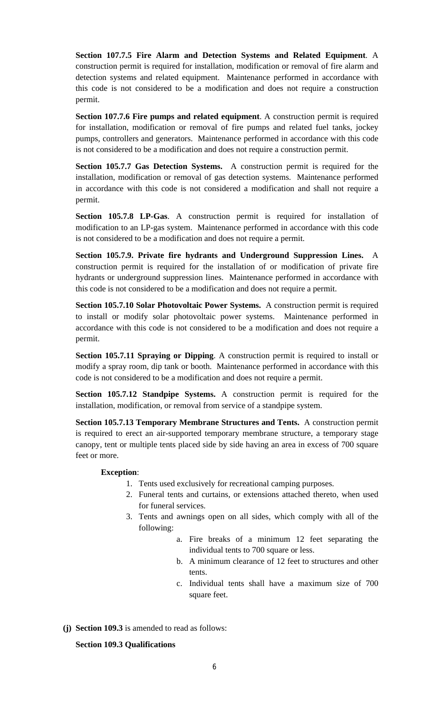**Section 107.7.5 Fire Alarm and Detection Systems and Related Equipment**. A construction permit is required for installation, modification or removal of fire alarm and detection systems and related equipment. Maintenance performed in accordance with this code is not considered to be a modification and does not require a construction permit.

**Section 107.7.6 Fire pumps and related equipment**. A construction permit is required for installation, modification or removal of fire pumps and related fuel tanks, jockey pumps, controllers and generators. Maintenance performed in accordance with this code is not considered to be a modification and does not require a construction permit.

**Section 105.7.7 Gas Detection Systems.** A construction permit is required for the installation, modification or removal of gas detection systems. Maintenance performed in accordance with this code is not considered a modification and shall not require a permit.

**Section 105.7.8 LP-Gas**. A construction permit is required for installation of modification to an LP-gas system. Maintenance performed in accordance with this code is not considered to be a modification and does not require a permit.

**Section 105.7.9. Private fire hydrants and Underground Suppression Lines.** A construction permit is required for the installation of or modification of private fire hydrants or underground suppression lines. Maintenance performed in accordance with this code is not considered to be a modification and does not require a permit.

**Section 105.7.10 Solar Photovoltaic Power Systems.** A construction permit is required to install or modify solar photovoltaic power systems. Maintenance performed in accordance with this code is not considered to be a modification and does not require a permit.

**Section 105.7.11 Spraying or Dipping**. A construction permit is required to install or modify a spray room, dip tank or booth. Maintenance performed in accordance with this code is not considered to be a modification and does not require a permit.

**Section 105.7.12 Standpipe Systems.** A construction permit is required for the installation, modification, or removal from service of a standpipe system.

**Section 105.7.13 Temporary Membrane Structures and Tents.** A construction permit is required to erect an air-supported temporary membrane structure, a temporary stage canopy, tent or multiple tents placed side by side having an area in excess of 700 square feet or more.

# **Exception**:

- 1. Tents used exclusively for recreational camping purposes.
- 2. Funeral tents and curtains, or extensions attached thereto, when used for funeral services.
- 3. Tents and awnings open on all sides, which comply with all of the following:
	- a. Fire breaks of a minimum 12 feet separating the individual tents to 700 square or less.
	- b. A minimum clearance of 12 feet to structures and other tents.
	- c. Individual tents shall have a maximum size of 700 square feet.
- **(j) Section 109.3** is amended to read as follows:

# **Section 109.3 Qualifications**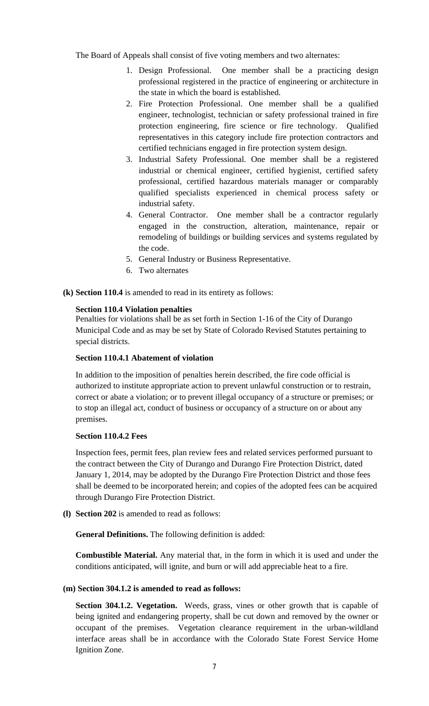The Board of Appeals shall consist of five voting members and two alternates:

- 1. Design Professional. One member shall be a practicing design professional registered in the practice of engineering or architecture in the state in which the board is established.
- 2. Fire Protection Professional. One member shall be a qualified engineer, technologist, technician or safety professional trained in fire protection engineering, fire science or fire technology. Qualified representatives in this category include fire protection contractors and certified technicians engaged in fire protection system design.
- 3. Industrial Safety Professional. One member shall be a registered industrial or chemical engineer, certified hygienist, certified safety professional, certified hazardous materials manager or comparably qualified specialists experienced in chemical process safety or industrial safety.
- 4. General Contractor. One member shall be a contractor regularly engaged in the construction, alteration, maintenance, repair or remodeling of buildings or building services and systems regulated by the code.
- 5. General Industry or Business Representative.
- 6. Two alternates
- **(k) Section 110.4** is amended to read in its entirety as follows:

### **Section 110.4 Violation penalties**

Penalties for violations shall be as set forth in Section 1-16 of the City of Durango Municipal Code and as may be set by State of Colorado Revised Statutes pertaining to special districts.

### **Section 110.4.1 Abatement of violation**

In addition to the imposition of penalties herein described, the fire code official is authorized to institute appropriate action to prevent unlawful construction or to restrain, correct or abate a violation; or to prevent illegal occupancy of a structure or premises; or to stop an illegal act, conduct of business or occupancy of a structure on or about any premises.

### **Section 110.4.2 Fees**

Inspection fees, permit fees, plan review fees and related services performed pursuant to the contract between the City of Durango and Durango Fire Protection District, dated January 1, 2014, may be adopted by the Durango Fire Protection District and those fees shall be deemed to be incorporated herein; and copies of the adopted fees can be acquired through Durango Fire Protection District.

**(l) Section 202** is amended to read as follows:

**General Definitions.** The following definition is added:

**Combustible Material.** Any material that, in the form in which it is used and under the conditions anticipated, will ignite, and burn or will add appreciable heat to a fire.

### **(m) Section 304.1.2 is amended to read as follows:**

**Section 304.1.2. Vegetation.** Weeds, grass, vines or other growth that is capable of being ignited and endangering property, shall be cut down and removed by the owner or occupant of the premises. Vegetation clearance requirement in the urban-wildland interface areas shall be in accordance with the Colorado State Forest Service Home Ignition Zone.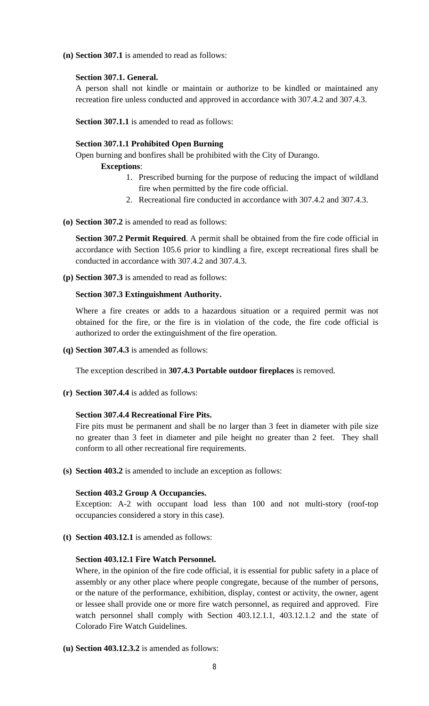**(n) Section 307.1** is amended to read as follows:

### **Section 307.1. General.**

A person shall not kindle or maintain or authorize to be kindled or maintained any recreation fire unless conducted and approved in accordance with 307.4.2 and 307.4.3.

**Section 307.1.1** is amended to read as follows:

### **Section 307.1.1 Prohibited Open Burning**

Open burning and bonfires shall be prohibited with the City of Durango.

**Exceptions**:

- 1. Prescribed burning for the purpose of reducing the impact of wildland fire when permitted by the fire code official.
- 2. Recreational fire conducted in accordance with 307.4.2 and 307.4.3.
- **(o) Section 307.2** is amended to read as follows:

**Section 307.2 Permit Required**. A permit shall be obtained from the fire code official in accordance with Section 105.6 prior to kindling a fire, except recreational fires shall be conducted in accordance with 307.4.2 and 307.4.3.

**(p) Section 307.3** is amended to read as follows:

### **Section 307.3 Extinguishment Authority.**

Where a fire creates or adds to a hazardous situation or a required permit was not obtained for the fire, or the fire is in violation of the code, the fire code official is authorized to order the extinguishment of the fire operation.

**(q) Section 307.4.3** is amended as follows:

The exception described in **307.4.3 Portable outdoor fireplaces** is removed.

**(r) Section 307.4.4** is added as follows:

# **Section 307.4.4 Recreational Fire Pits.**

Fire pits must be permanent and shall be no larger than 3 feet in diameter with pile size no greater than 3 feet in diameter and pile height no greater than 2 feet. They shall conform to all other recreational fire requirements.

**(s) Section 403.2** is amended to include an exception as follows:

### **Section 403.2 Group A Occupancies.**

Exception: A-2 with occupant load less than 100 and not multi-story (roof-top occupancies considered a story in this case).

**(t) Section 403.12.1** is amended as follows:

### **Section 403.12.1 Fire Watch Personnel.**

Where, in the opinion of the fire code official, it is essential for public safety in a place of assembly or any other place where people congregate, because of the number of persons, or the nature of the performance, exhibition, display, contest or activity, the owner, agent or lessee shall provide one or more fire watch personnel, as required and approved. Fire watch personnel shall comply with Section 403.12.1.1, 403.12.1.2 and the state of Colorado Fire Watch Guidelines.

**(u) Section 403.12.3.2** is amended as follows: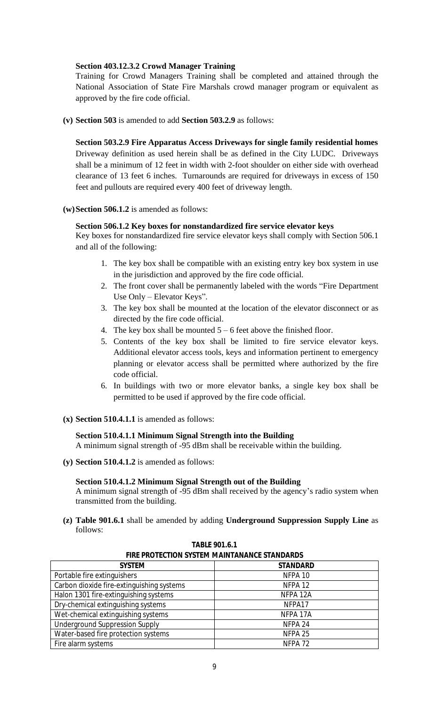# **Section 403.12.3.2 Crowd Manager Training**

Training for Crowd Managers Training shall be completed and attained through the National Association of State Fire Marshals crowd manager program or equivalent as approved by the fire code official.

**(v) Section 503** is amended to add **Section 503.2.9** as follows:

**Section 503.2.9 Fire Apparatus Access Driveways for single family residential homes** Driveway definition as used herein shall be as defined in the City LUDC. Driveways shall be a minimum of 12 feet in width with 2-foot shoulder on either side with overhead clearance of 13 feet 6 inches. Turnarounds are required for driveways in excess of 150 feet and pullouts are required every 400 feet of driveway length.

# **(w)Section 506.1.2** is amended as follows:

# **Section 506.1.2 Key boxes for nonstandardized fire service elevator keys**

Key boxes for nonstandardized fire service elevator keys shall comply with Section 506.1 and all of the following:

- 1. The key box shall be compatible with an existing entry key box system in use in the jurisdiction and approved by the fire code official.
- 2. The front cover shall be permanently labeled with the words "Fire Department Use Only – Elevator Keys".
- 3. The key box shall be mounted at the location of the elevator disconnect or as directed by the fire code official.
- 4. The key box shall be mounted  $5 6$  feet above the finished floor.
- 5. Contents of the key box shall be limited to fire service elevator keys. Additional elevator access tools, keys and information pertinent to emergency planning or elevator access shall be permitted where authorized by the fire code official.
- 6. In buildings with two or more elevator banks, a single key box shall be permitted to be used if approved by the fire code official.
- **(x) Section 510.4.1.1** is amended as follows:

# **Section 510.4.1.1 Minimum Signal Strength into the Building**

A minimum signal strength of -95 dBm shall be receivable within the building.

**(y) Section 510.4.1.2** is amended as follows:

# **Section 510.4.1.2 Minimum Signal Strength out of the Building**

A minimum signal strength of -95 dBm shall received by the agency's radio system when transmitted from the building.

**(z) Table 901.6.1** shall be amended by adding **Underground Suppression Supply Line** as follows:

| <b>FIRE PROTECTION SYSTEM MAINTANANCE STANDARDS</b> |                    |  |
|-----------------------------------------------------|--------------------|--|
| <b>SYSTEM</b>                                       | <b>STANDARD</b>    |  |
| Portable fire extinguishers                         | NFPA 10            |  |
| Carbon dioxide fire-extinguishing systems           | NFPA <sub>12</sub> |  |
| Halon 1301 fire-extinguishing systems               | NFPA 12A           |  |
| Dry-chemical extinguishing systems                  | NFPA17             |  |
| Wet-chemical extinguishing systems                  | NFPA 17A           |  |
| Underground Suppression Supply                      | NFPA 24            |  |
| Water-based fire protection systems                 | NFPA <sub>25</sub> |  |
| Fire alarm systems                                  | NFPA <sub>72</sub> |  |

**TABLE 901.6.1**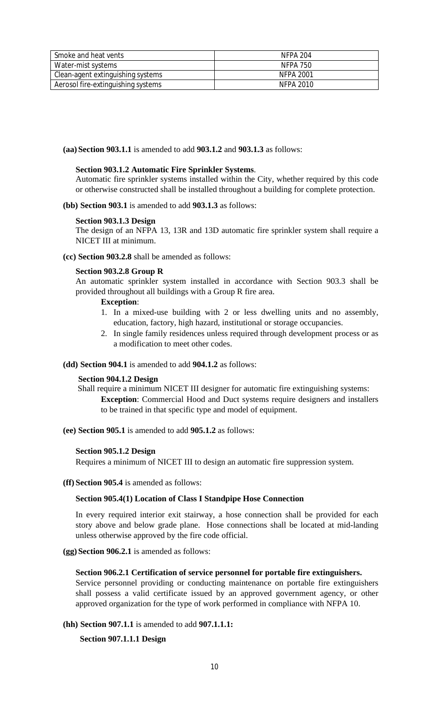| Smoke and heat vents               | NFPA 204  |
|------------------------------------|-----------|
| Water-mist systems                 | NFPA 750  |
| Clean-agent extinguishing systems  | NFPA 2001 |
| Aerosol fire-extinguishing systems | NFPA 2010 |

**(aa)Section 903.1.1** is amended to add **903.1.2** and **903.1.3** as follows:

# **Section 903.1.2 Automatic Fire Sprinkler Systems**.

Automatic fire sprinkler systems installed within the City, whether required by this code or otherwise constructed shall be installed throughout a building for complete protection.

**(bb) Section 903.1** is amended to add **903.1.3** as follows:

### **Section 903.1.3 Design**

The design of an NFPA 13, 13R and 13D automatic fire sprinkler system shall require a NICET III at minimum.

### **(cc) Section 903.2.8** shall be amended as follows:

### **Section 903.2.8 Group R**

An automatic sprinkler system installed in accordance with Section 903.3 shall be provided throughout all buildings with a Group R fire area.

## **Exception**:

- 1. In a mixed-use building with 2 or less dwelling units and no assembly, education, factory, high hazard, institutional or storage occupancies.
- 2. In single family residences unless required through development process or as a modification to meet other codes.

**(dd) Section 904.1** is amended to add **904.1.2** as follows:

### **Section 904.1.2 Design**

Shall require a minimum NICET III designer for automatic fire extinguishing systems: **Exception**: Commercial Hood and Duct systems require designers and installers to be trained in that specific type and model of equipment.

**(ee) Section 905.1** is amended to add **905.1.2** as follows:

### **Section 905.1.2 Design**

Requires a minimum of NICET III to design an automatic fire suppression system.

**(ff) Section 905.4** is amended as follows:

# **Section 905.4(1) Location of Class I Standpipe Hose Connection**

In every required interior exit stairway, a hose connection shall be provided for each story above and below grade plane. Hose connections shall be located at mid-landing unless otherwise approved by the fire code official.

**(gg) Section 906.2.1** is amended as follows:

### **Section 906.2.1 Certification of service personnel for portable fire extinguishers.**

Service personnel providing or conducting maintenance on portable fire extinguishers shall possess a valid certificate issued by an approved government agency, or other approved organization for the type of work performed in compliance with NFPA 10.

# **(hh) Section 907.1.1** is amended to add **907.1.1.1:**

 **Section 907.1.1.1 Design**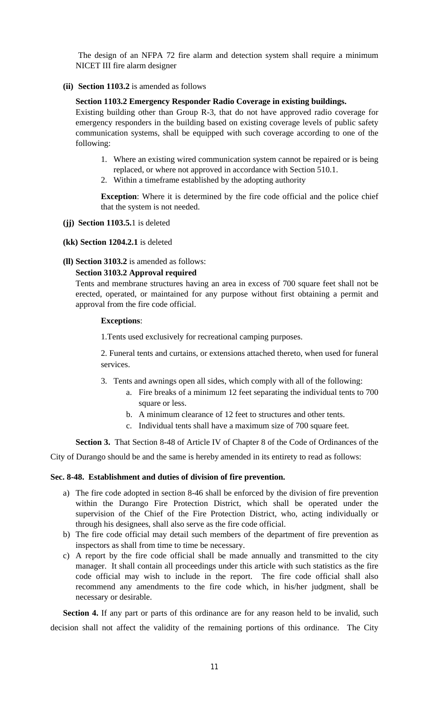The design of an NFPA 72 fire alarm and detection system shall require a minimum NICET III fire alarm designer

**(ii) Section 1103.2** is amended as follows

### **Section 1103.2 Emergency Responder Radio Coverage in existing buildings.**

Existing building other than Group R-3, that do not have approved radio coverage for emergency responders in the building based on existing coverage levels of public safety communication systems, shall be equipped with such coverage according to one of the following:

- 1. Where an existing wired communication system cannot be repaired or is being replaced, or where not approved in accordance with Section 510.1.
- 2. Within a timeframe established by the adopting authority

**Exception**: Where it is determined by the fire code official and the police chief that the system is not needed.

- **(jj) Section 1103.5.**1 is deleted
- **(kk) Section 1204.2.1** is deleted
- **(ll) Section 3103.2** is amended as follows:

# **Section 3103.2 Approval required**

Tents and membrane structures having an area in excess of 700 square feet shall not be erected, operated, or maintained for any purpose without first obtaining a permit and approval from the fire code official.

### **Exceptions**:

1.Tents used exclusively for recreational camping purposes.

2. Funeral tents and curtains, or extensions attached thereto, when used for funeral services.

- 3. Tents and awnings open all sides, which comply with all of the following:
	- a. Fire breaks of a minimum 12 feet separating the individual tents to 700 square or less.
	- b. A minimum clearance of 12 feet to structures and other tents.
	- c. Individual tents shall have a maximum size of 700 square feet.

**Section 3.** That Section 8-48 of Article IV of Chapter 8 of the Code of Ordinances of the

City of Durango should be and the same is hereby amended in its entirety to read as follows:

### **Sec. 8-48. Establishment and duties of division of fire prevention.**

- a) The fire code adopted in section 8-46 shall be enforced by the division of fire prevention within the Durango Fire Protection District, which shall be operated under the supervision of the Chief of the Fire Protection District, who, acting individually or through his designees, shall also serve as the fire code official.
- b) The fire code official may detail such members of the department of fire prevention as inspectors as shall from time to time be necessary.
- c) A report by the fire code official shall be made annually and transmitted to the city manager. It shall contain all proceedings under this article with such statistics as the fire code official may wish to include in the report. The fire code official shall also recommend any amendments to the fire code which, in his/her judgment, shall be necessary or desirable.

**Section 4.** If any part or parts of this ordinance are for any reason held to be invalid, such decision shall not affect the validity of the remaining portions of this ordinance. The City